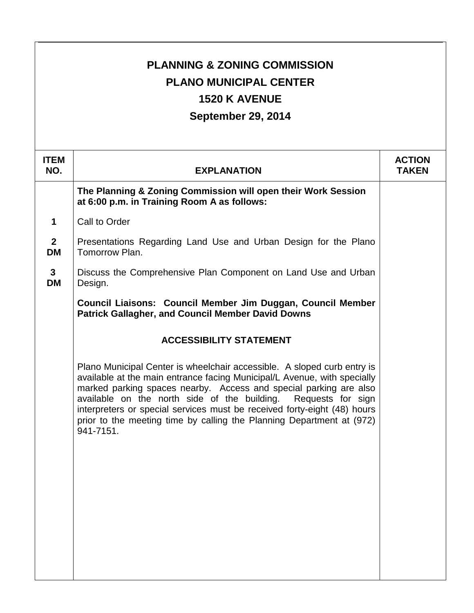| <b>PLANNING &amp; ZONING COMMISSION</b><br><b>PLANO MUNICIPAL CENTER</b><br><b>1520 K AVENUE</b><br>September 29, 2014 |                                                                                                                                                                                                                                                                                                                                                                                                                                                              |                               |
|------------------------------------------------------------------------------------------------------------------------|--------------------------------------------------------------------------------------------------------------------------------------------------------------------------------------------------------------------------------------------------------------------------------------------------------------------------------------------------------------------------------------------------------------------------------------------------------------|-------------------------------|
| <b>ITEM</b><br>NO.                                                                                                     | <b>EXPLANATION</b>                                                                                                                                                                                                                                                                                                                                                                                                                                           | <b>ACTION</b><br><b>TAKEN</b> |
|                                                                                                                        | The Planning & Zoning Commission will open their Work Session<br>at 6:00 p.m. in Training Room A as follows:                                                                                                                                                                                                                                                                                                                                                 |                               |
| 1                                                                                                                      | Call to Order                                                                                                                                                                                                                                                                                                                                                                                                                                                |                               |
| $\overline{2}$<br><b>DM</b>                                                                                            | Presentations Regarding Land Use and Urban Design for the Plano<br>Tomorrow Plan.                                                                                                                                                                                                                                                                                                                                                                            |                               |
| $\mathbf{3}$<br><b>DM</b>                                                                                              | Discuss the Comprehensive Plan Component on Land Use and Urban<br>Design.                                                                                                                                                                                                                                                                                                                                                                                    |                               |
|                                                                                                                        | Council Liaisons: Council Member Jim Duggan, Council Member<br><b>Patrick Gallagher, and Council Member David Downs</b>                                                                                                                                                                                                                                                                                                                                      |                               |
|                                                                                                                        | <b>ACCESSIBILITY STATEMENT</b>                                                                                                                                                                                                                                                                                                                                                                                                                               |                               |
|                                                                                                                        | Plano Municipal Center is wheelchair accessible. A sloped curb entry is<br>available at the main entrance facing Municipal/L Avenue, with specially<br>marked parking spaces nearby. Access and special parking are also<br>available on the north side of the building. Requests for sign<br>interpreters or special services must be received forty-eight (48) hours<br>prior to the meeting time by calling the Planning Department at (972)<br>941-7151. |                               |
|                                                                                                                        |                                                                                                                                                                                                                                                                                                                                                                                                                                                              |                               |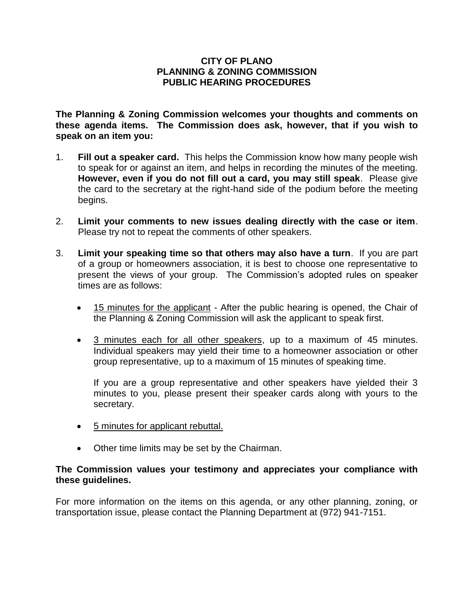### **CITY OF PLANO PLANNING & ZONING COMMISSION PUBLIC HEARING PROCEDURES**

**The Planning & Zoning Commission welcomes your thoughts and comments on these agenda items. The Commission does ask, however, that if you wish to speak on an item you:**

- 1. **Fill out a speaker card.** This helps the Commission know how many people wish to speak for or against an item, and helps in recording the minutes of the meeting. **However, even if you do not fill out a card, you may still speak**. Please give the card to the secretary at the right-hand side of the podium before the meeting begins.
- 2. **Limit your comments to new issues dealing directly with the case or item**. Please try not to repeat the comments of other speakers.
- 3. **Limit your speaking time so that others may also have a turn**. If you are part of a group or homeowners association, it is best to choose one representative to present the views of your group. The Commission's adopted rules on speaker times are as follows:
	- 15 minutes for the applicant After the public hearing is opened, the Chair of the Planning & Zoning Commission will ask the applicant to speak first.
	- 3 minutes each for all other speakers, up to a maximum of 45 minutes. Individual speakers may yield their time to a homeowner association or other group representative, up to a maximum of 15 minutes of speaking time.

If you are a group representative and other speakers have yielded their 3 minutes to you, please present their speaker cards along with yours to the secretary.

- 5 minutes for applicant rebuttal.
- Other time limits may be set by the Chairman.

### **The Commission values your testimony and appreciates your compliance with these guidelines.**

For more information on the items on this agenda, or any other planning, zoning, or transportation issue, please contact the Planning Department at (972) 941-7151.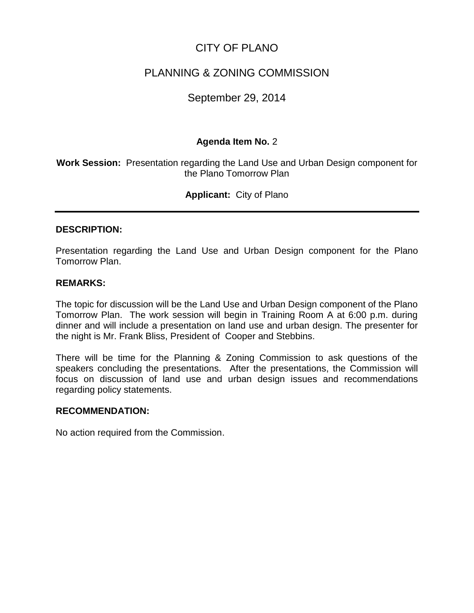# CITY OF PLANO

# PLANNING & ZONING COMMISSION

# September 29, 2014

## **Agenda Item No.** 2

**Work Session:** Presentation regarding the Land Use and Urban Design component for the Plano Tomorrow Plan

**Applicant:** City of Plano

### **DESCRIPTION:**

Presentation regarding the Land Use and Urban Design component for the Plano Tomorrow Plan.

### **REMARKS:**

The topic for discussion will be the Land Use and Urban Design component of the Plano Tomorrow Plan. The work session will begin in Training Room A at 6:00 p.m. during dinner and will include a presentation on land use and urban design. The presenter for the night is Mr. Frank Bliss, President of Cooper and Stebbins.

There will be time for the Planning & Zoning Commission to ask questions of the speakers concluding the presentations. After the presentations, the Commission will focus on discussion of land use and urban design issues and recommendations regarding policy statements.

#### **RECOMMENDATION:**

No action required from the Commission.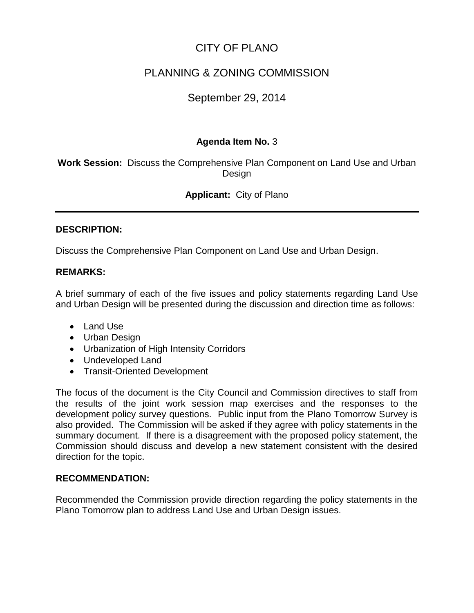# CITY OF PLANO

# PLANNING & ZONING COMMISSION

# September 29, 2014

# **Agenda Item No.** 3

**Work Session:** Discuss the Comprehensive Plan Component on Land Use and Urban Design

# **Applicant:** City of Plano

### **DESCRIPTION:**

Discuss the Comprehensive Plan Component on Land Use and Urban Design.

### **REMARKS:**

A brief summary of each of the five issues and policy statements regarding Land Use and Urban Design will be presented during the discussion and direction time as follows:

- Land Use
- Urban Design
- Urbanization of High Intensity Corridors
- Undeveloped Land
- Transit-Oriented Development

The focus of the document is the City Council and Commission directives to staff from the results of the joint work session map exercises and the responses to the development policy survey questions. Public input from the Plano Tomorrow Survey is also provided. The Commission will be asked if they agree with policy statements in the summary document. If there is a disagreement with the proposed policy statement, the Commission should discuss and develop a new statement consistent with the desired direction for the topic.

### **RECOMMENDATION:**

Recommended the Commission provide direction regarding the policy statements in the Plano Tomorrow plan to address Land Use and Urban Design issues.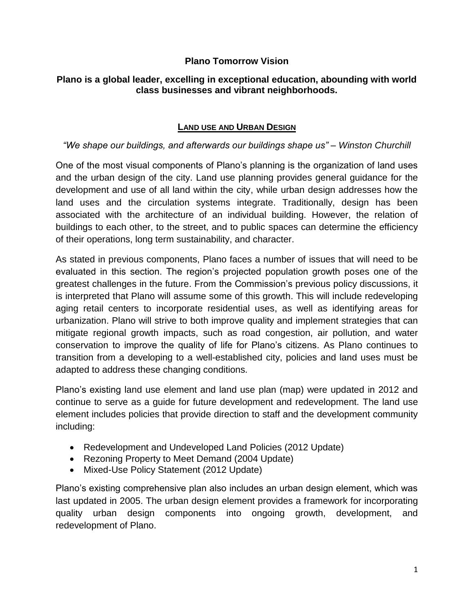# **Plano Tomorrow Vision**

# **Plano is a global leader, excelling in exceptional education, abounding with world class businesses and vibrant neighborhoods.**

# **LAND USE AND URBAN DESIGN**

# *"We shape our buildings, and afterwards our buildings shape us" – Winston Churchill*

One of the most visual components of Plano's planning is the organization of land uses and the urban design of the city. Land use planning provides general guidance for the development and use of all land within the city, while urban design addresses how the land uses and the circulation systems integrate. Traditionally, design has been associated with the architecture of an individual building. However, the relation of buildings to each other, to the street, and to public spaces can determine the efficiency of their operations, long term sustainability, and character.

As stated in previous components, Plano faces a number of issues that will need to be evaluated in this section. The region's projected population growth poses one of the greatest challenges in the future. From the Commission's previous policy discussions, it is interpreted that Plano will assume some of this growth. This will include redeveloping aging retail centers to incorporate residential uses, as well as identifying areas for urbanization. Plano will strive to both improve quality and implement strategies that can mitigate regional growth impacts, such as road congestion, air pollution, and water conservation to improve the quality of life for Plano's citizens. As Plano continues to transition from a developing to a well-established city, policies and land uses must be adapted to address these changing conditions.

Plano's existing land use element and land use plan (map) were updated in 2012 and continue to serve as a guide for future development and redevelopment. The land use element includes policies that provide direction to staff and the development community including:

- Redevelopment and Undeveloped Land Policies (2012 Update)
- Rezoning Property to Meet Demand (2004 Update)
- Mixed-Use Policy Statement (2012 Update)

Plano's existing comprehensive plan also includes an urban design element, which was last updated in 2005. The urban design element provides a framework for incorporating quality urban design components into ongoing growth, development, and redevelopment of Plano.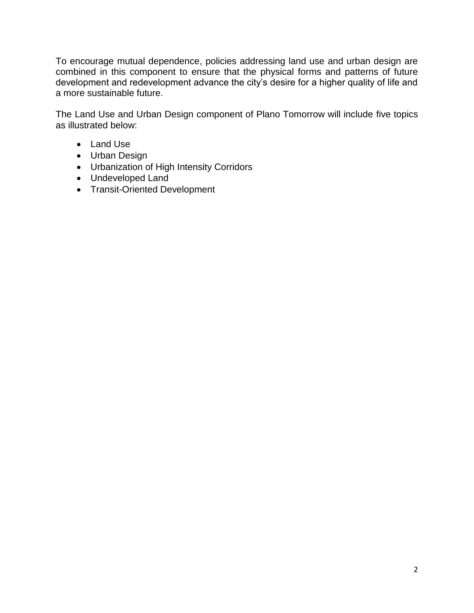To encourage mutual dependence, policies addressing land use and urban design are combined in this component to ensure that the physical forms and patterns of future development and redevelopment advance the city's desire for a higher quality of life and a more sustainable future.

The Land Use and Urban Design component of Plano Tomorrow will include five topics as illustrated below:

- Land Use
- Urban Design
- Urbanization of High Intensity Corridors
- Undeveloped Land
- Transit-Oriented Development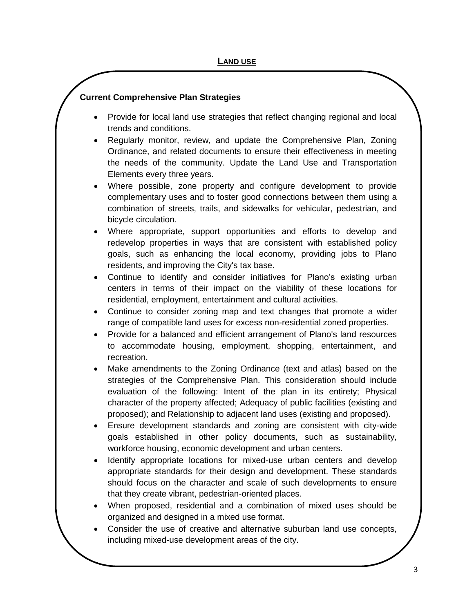- Provide for local land use strategies that reflect changing regional and local trends and conditions.
- Regularly monitor, review, and update the Comprehensive Plan, Zoning Ordinance, and related documents to ensure their effectiveness in meeting the needs of the community. Update the Land Use and Transportation Elements every three years.
- Where possible, zone property and configure development to provide complementary uses and to foster good connections between them using a combination of streets, trails, and sidewalks for vehicular, pedestrian, and bicycle circulation.
- Where appropriate, support opportunities and efforts to develop and redevelop properties in ways that are consistent with established policy goals, such as enhancing the local economy, providing jobs to Plano residents, and improving the City's tax base.
- Continue to identify and consider initiatives for Plano's existing urban centers in terms of their impact on the viability of these locations for residential, employment, entertainment and cultural activities.
- Continue to consider zoning map and text changes that promote a wider range of compatible land uses for excess non-residential zoned properties.
- Provide for a balanced and efficient arrangement of Plano's land resources to accommodate housing, employment, shopping, entertainment, and recreation.
- Make amendments to the Zoning Ordinance (text and atlas) based on the strategies of the Comprehensive Plan. This consideration should include evaluation of the following: Intent of the plan in its entirety; Physical character of the property affected; Adequacy of public facilities (existing and proposed); and Relationship to adjacent land uses (existing and proposed).
- Ensure development standards and zoning are consistent with city-wide goals established in other policy documents, such as sustainability, workforce housing, economic development and urban centers.
- Identify appropriate locations for mixed-use urban centers and develop appropriate standards for their design and development. These standards should focus on the character and scale of such developments to ensure that they create vibrant, pedestrian-oriented places.
- When proposed, residential and a combination of mixed uses should be organized and designed in a mixed use format.
- Consider the use of creative and alternative suburban land use concepts, including mixed-use development areas of the city.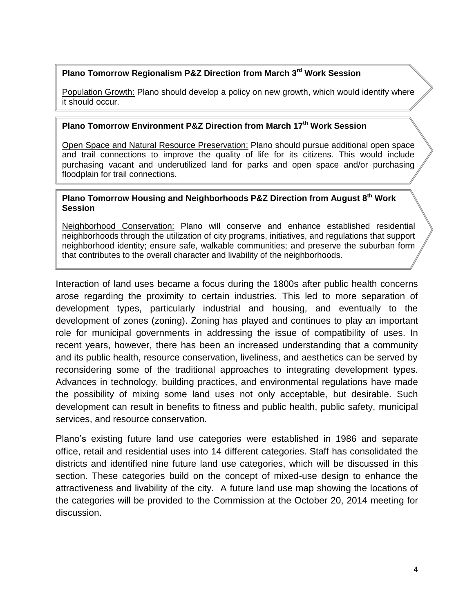### **Plano Tomorrow Regionalism P&Z Direction from March 3rd Work Session**

Population Growth: Plano should develop a policy on new growth, which would identify where it should occur.

# **Plano Tomorrow Environment P&Z Direction from March 17th Work Session**

Open Space and Natural Resource Preservation: Plano should pursue additional open space and trail connections to improve the quality of life for its citizens. This would include purchasing vacant and underutilized land for parks and open space and/or purchasing floodplain for trail connections.

#### **Plano Tomorrow Housing and Neighborhoods P&Z Direction from August 8th Work Session**

Neighborhood Conservation: Plano will conserve and enhance established residential neighborhoods through the utilization of city programs, initiatives, and regulations that support neighborhood identity; ensure safe, walkable communities; and preserve the suburban form that contributes to the overall character and livability of the neighborhoods.

Interaction of land uses became a focus during the 1800s after public health concerns arose regarding the proximity to certain industries. This led to more separation of development types, particularly industrial and housing, and eventually to the development of zones (zoning). Zoning has played and continues to play an important role for municipal governments in addressing the issue of compatibility of uses. In recent years, however, there has been an increased understanding that a community and its public health, resource conservation, liveliness, and aesthetics can be served by reconsidering some of the traditional approaches to integrating development types. Advances in technology, building practices, and environmental regulations have made the possibility of mixing some land uses not only acceptable, but desirable. Such development can result in benefits to fitness and public health, public safety, municipal services, and resource conservation.

Plano's existing future land use categories were established in 1986 and separate office, retail and residential uses into 14 different categories. Staff has consolidated the districts and identified nine future land use categories, which will be discussed in this section. These categories build on the concept of mixed-use design to enhance the attractiveness and livability of the city. A future land use map showing the locations of the categories will be provided to the Commission at the October 20, 2014 meeting for discussion.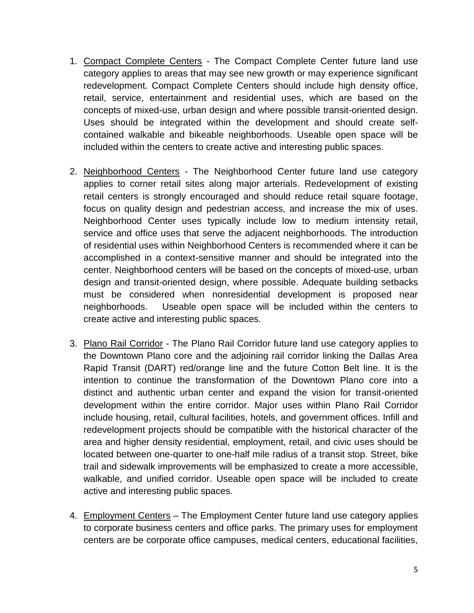- 1. Compact Complete Centers The Compact Complete Center future land use category applies to areas that may see new growth or may experience significant redevelopment. Compact Complete Centers should include high density office, retail, service, entertainment and residential uses, which are based on the concepts of mixed-use, urban design and where possible transit-oriented design. Uses should be integrated within the development and should create selfcontained walkable and bikeable neighborhoods. Useable open space will be included within the centers to create active and interesting public spaces.
- 2. Neighborhood Centers The Neighborhood Center future land use category applies to corner retail sites along major arterials. Redevelopment of existing retail centers is strongly encouraged and should reduce retail square footage, focus on quality design and pedestrian access, and increase the mix of uses. Neighborhood Center uses typically include low to medium intensity retail, service and office uses that serve the adjacent neighborhoods. The introduction of residential uses within Neighborhood Centers is recommended where it can be accomplished in a context-sensitive manner and should be integrated into the center. Neighborhood centers will be based on the concepts of mixed-use, urban design and transit-oriented design, where possible. Adequate building setbacks must be considered when nonresidential development is proposed near neighborhoods. Useable open space will be included within the centers to create active and interesting public spaces.
- 3. Plano Rail Corridor The Plano Rail Corridor future land use category applies to the Downtown Plano core and the adjoining rail corridor linking the Dallas Area Rapid Transit (DART) red/orange line and the future Cotton Belt line. It is the intention to continue the transformation of the Downtown Plano core into a distinct and authentic urban center and expand the vision for transit-oriented development within the entire corridor. Major uses within Plano Rail Corridor include housing, retail, cultural facilities, hotels, and government offices. Infill and redevelopment projects should be compatible with the historical character of the area and higher density residential, employment, retail, and civic uses should be located between one-quarter to one-half mile radius of a transit stop. Street, bike trail and sidewalk improvements will be emphasized to create a more accessible, walkable, and unified corridor. Useable open space will be included to create active and interesting public spaces.
- 4. Employment Centers The Employment Center future land use category applies to corporate business centers and office parks. The primary uses for employment centers are be corporate office campuses, medical centers, educational facilities,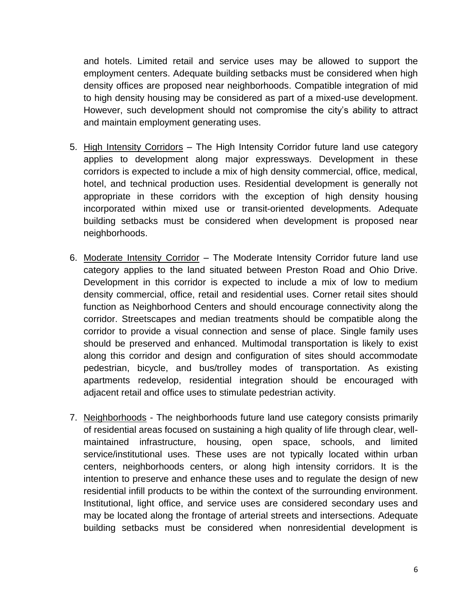and hotels. Limited retail and service uses may be allowed to support the employment centers. Adequate building setbacks must be considered when high density offices are proposed near neighborhoods. Compatible integration of mid to high density housing may be considered as part of a mixed-use development. However, such development should not compromise the city's ability to attract and maintain employment generating uses.

- 5. High Intensity Corridors The High Intensity Corridor future land use category applies to development along major expressways. Development in these corridors is expected to include a mix of high density commercial, office, medical, hotel, and technical production uses. Residential development is generally not appropriate in these corridors with the exception of high density housing incorporated within mixed use or transit-oriented developments. Adequate building setbacks must be considered when development is proposed near neighborhoods.
- 6. Moderate Intensity Corridor The Moderate Intensity Corridor future land use category applies to the land situated between Preston Road and Ohio Drive. Development in this corridor is expected to include a mix of low to medium density commercial, office, retail and residential uses. Corner retail sites should function as Neighborhood Centers and should encourage connectivity along the corridor. Streetscapes and median treatments should be compatible along the corridor to provide a visual connection and sense of place. Single family uses should be preserved and enhanced. Multimodal transportation is likely to exist along this corridor and design and configuration of sites should accommodate pedestrian, bicycle, and bus/trolley modes of transportation. As existing apartments redevelop, residential integration should be encouraged with adjacent retail and office uses to stimulate pedestrian activity.
- 7. Neighborhoods The neighborhoods future land use category consists primarily of residential areas focused on sustaining a high quality of life through clear, wellmaintained infrastructure, housing, open space, schools, and limited service/institutional uses. These uses are not typically located within urban centers, neighborhoods centers, or along high intensity corridors. It is the intention to preserve and enhance these uses and to regulate the design of new residential infill products to be within the context of the surrounding environment. Institutional, light office, and service uses are considered secondary uses and may be located along the frontage of arterial streets and intersections. Adequate building setbacks must be considered when nonresidential development is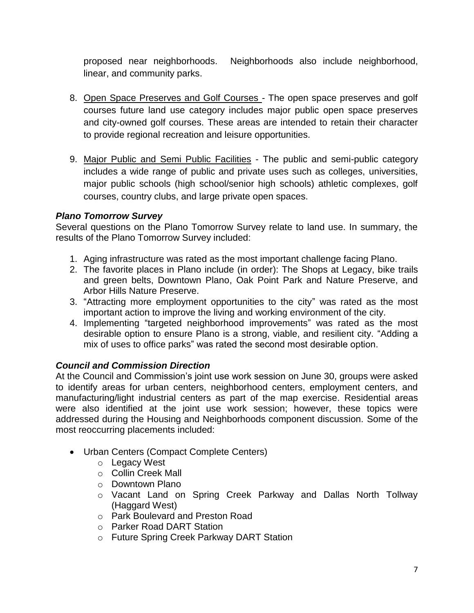proposed near neighborhoods. Neighborhoods also include neighborhood, linear, and community parks.

- 8. Open Space Preserves and Golf Courses The open space preserves and golf courses future land use category includes major public open space preserves and city-owned golf courses. These areas are intended to retain their character to provide regional recreation and leisure opportunities.
- 9. Major Public and Semi Public Facilities The public and semi-public category includes a wide range of public and private uses such as colleges, universities, major public schools (high school/senior high schools) athletic complexes, golf courses, country clubs, and large private open spaces.

# *Plano Tomorrow Survey*

Several questions on the Plano Tomorrow Survey relate to land use. In summary, the results of the Plano Tomorrow Survey included:

- 1. Aging infrastructure was rated as the most important challenge facing Plano.
- 2. The favorite places in Plano include (in order): The Shops at Legacy, bike trails and green belts, Downtown Plano, Oak Point Park and Nature Preserve, and Arbor Hills Nature Preserve.
- 3. "Attracting more employment opportunities to the city" was rated as the most important action to improve the living and working environment of the city.
- 4. Implementing "targeted neighborhood improvements" was rated as the most desirable option to ensure Plano is a strong, viable, and resilient city. "Adding a mix of uses to office parks" was rated the second most desirable option.

# *Council and Commission Direction*

At the Council and Commission's joint use work session on June 30, groups were asked to identify areas for urban centers, neighborhood centers, employment centers, and manufacturing/light industrial centers as part of the map exercise. Residential areas were also identified at the joint use work session; however, these topics were addressed during the Housing and Neighborhoods component discussion. Some of the most reoccurring placements included:

- Urban Centers (Compact Complete Centers)
	- o Legacy West
	- o Collin Creek Mall
	- o Downtown Plano
	- o Vacant Land on Spring Creek Parkway and Dallas North Tollway (Haggard West)
	- o Park Boulevard and Preston Road
	- o Parker Road DART Station
	- o Future Spring Creek Parkway DART Station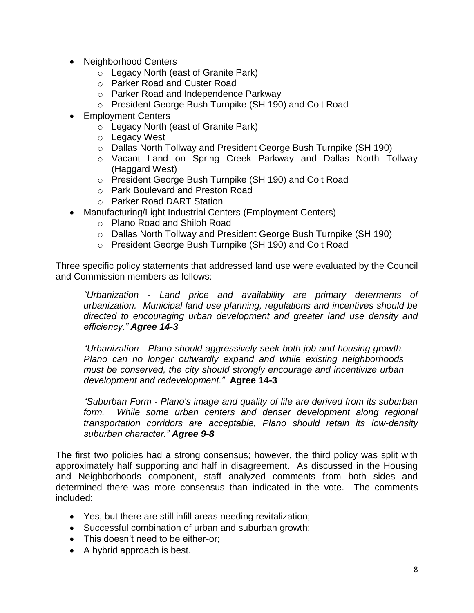- Neighborhood Centers
	- o Legacy North (east of Granite Park)
	- o Parker Road and Custer Road
	- o Parker Road and Independence Parkway
	- o President George Bush Turnpike (SH 190) and Coit Road
- Employment Centers
	- o Legacy North (east of Granite Park)
	- o Legacy West
	- o Dallas North Tollway and President George Bush Turnpike (SH 190)
	- o Vacant Land on Spring Creek Parkway and Dallas North Tollway (Haggard West)
	- o President George Bush Turnpike (SH 190) and Coit Road
	- o Park Boulevard and Preston Road
	- o Parker Road DART Station
- Manufacturing/Light Industrial Centers (Employment Centers)
	- o Plano Road and Shiloh Road
	- o Dallas North Tollway and President George Bush Turnpike (SH 190)
	- o President George Bush Turnpike (SH 190) and Coit Road

Three specific policy statements that addressed land use were evaluated by the Council and Commission members as follows:

*"Urbanization - Land price and availability are primary determents of urbanization. Municipal land use planning, regulations and incentives should be directed to encouraging urban development and greater land use density and efficiency." Agree 14-3*

*"Urbanization - Plano should aggressively seek both job and housing growth. Plano can no longer outwardly expand and while existing neighborhoods must be conserved, the city should strongly encourage and incentivize urban development and redevelopment."* **Agree 14-3**

*"Suburban Form - Plano's image and quality of life are derived from its suburban form. While some urban centers and denser development along regional transportation corridors are acceptable, Plano should retain its low-density suburban character." Agree 9-8*

The first two policies had a strong consensus; however, the third policy was split with approximately half supporting and half in disagreement. As discussed in the Housing and Neighborhoods component, staff analyzed comments from both sides and determined there was more consensus than indicated in the vote. The comments included:

- Yes, but there are still infill areas needing revitalization;
- Successful combination of urban and suburban growth;
- This doesn't need to be either-or:
- A hybrid approach is best.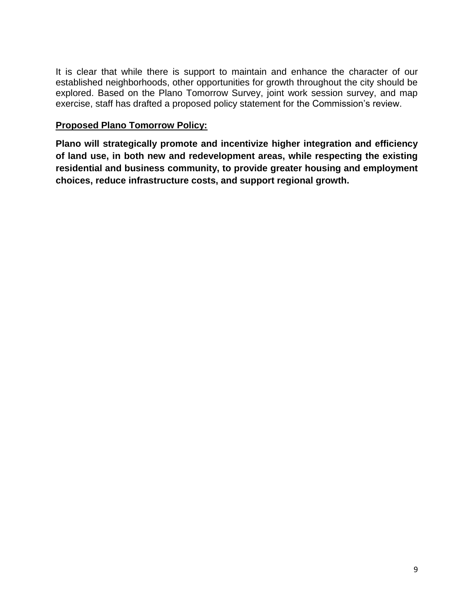It is clear that while there is support to maintain and enhance the character of our established neighborhoods, other opportunities for growth throughout the city should be explored. Based on the Plano Tomorrow Survey, joint work session survey, and map exercise, staff has drafted a proposed policy statement for the Commission's review.

# **Proposed Plano Tomorrow Policy:**

**Plano will strategically promote and incentivize higher integration and efficiency of land use, in both new and redevelopment areas, while respecting the existing residential and business community, to provide greater housing and employment choices, reduce infrastructure costs, and support regional growth.**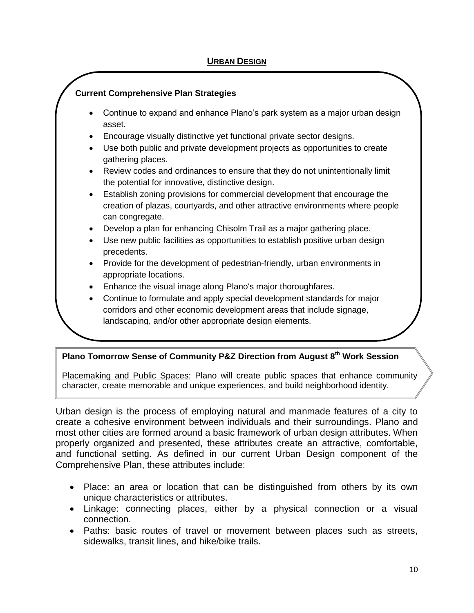- Continue to expand and enhance Plano's park system as a major urban design asset.
- Encourage visually distinctive yet functional private sector designs.
- Use both public and private development projects as opportunities to create gathering places.
- Review codes and ordinances to ensure that they do not unintentionally limit the potential for innovative, distinctive design.
- Establish zoning provisions for commercial development that encourage the creation of plazas, courtyards, and other attractive environments where people can congregate.
- Develop a plan for enhancing Chisolm Trail as a major gathering place.
- Use new public facilities as opportunities to establish positive urban design precedents.
- Provide for the development of pedestrian-friendly, urban environments in appropriate locations.
- Enhance the visual image along Plano's major thoroughfares.
- Continue to formulate and apply special development standards for major corridors and other economic development areas that include signage, landscaping, and/or other appropriate design elements.

### **Plano Tomorrow Sense of Community P&Z Direction from August 8th Work Session**

Placemaking and Public Spaces: Plano will create public spaces that enhance community character, create memorable and unique experiences, and build neighborhood identity.

Urban design is the process of employing natural and manmade features of a city to create a cohesive environment between individuals and their surroundings. Plano and most other cities are formed around a basic framework of urban design attributes. When properly organized and presented, these attributes create an attractive, comfortable, and functional setting. As defined in our current Urban Design component of the Comprehensive Plan, these attributes include:

- Place: an area or location that can be distinguished from others by its own unique characteristics or attributes.
- Linkage: connecting places, either by a physical connection or a visual connection.
- Paths: basic routes of travel or movement between places such as streets, sidewalks, transit lines, and hike/bike trails.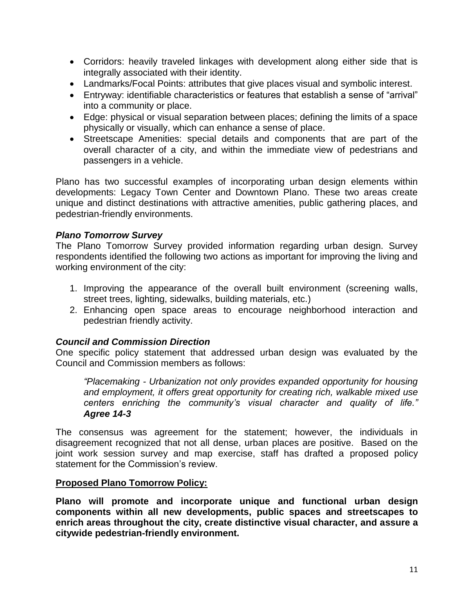- Corridors: heavily traveled linkages with development along either side that is integrally associated with their identity.
- Landmarks/Focal Points: attributes that give places visual and symbolic interest.
- Entryway: identifiable characteristics or features that establish a sense of "arrival" into a community or place.
- Edge: physical or visual separation between places; defining the limits of a space physically or visually, which can enhance a sense of place.
- Streetscape Amenities: special details and components that are part of the overall character of a city, and within the immediate view of pedestrians and passengers in a vehicle.

Plano has two successful examples of incorporating urban design elements within developments: Legacy Town Center and Downtown Plano. These two areas create unique and distinct destinations with attractive amenities, public gathering places, and pedestrian-friendly environments.

# *Plano Tomorrow Survey*

The Plano Tomorrow Survey provided information regarding urban design. Survey respondents identified the following two actions as important for improving the living and working environment of the city:

- 1. Improving the appearance of the overall built environment (screening walls, street trees, lighting, sidewalks, building materials, etc.)
- 2. Enhancing open space areas to encourage neighborhood interaction and pedestrian friendly activity.

# *Council and Commission Direction*

One specific policy statement that addressed urban design was evaluated by the Council and Commission members as follows:

*"Placemaking - Urbanization not only provides expanded opportunity for housing and employment, it offers great opportunity for creating rich, walkable mixed use centers enriching the community's visual character and quality of life." Agree 14-3*

The consensus was agreement for the statement; however, the individuals in disagreement recognized that not all dense, urban places are positive. Based on the joint work session survey and map exercise, staff has drafted a proposed policy statement for the Commission's review.

# **Proposed Plano Tomorrow Policy:**

**Plano will promote and incorporate unique and functional urban design components within all new developments, public spaces and streetscapes to enrich areas throughout the city, create distinctive visual character, and assure a citywide pedestrian-friendly environment.**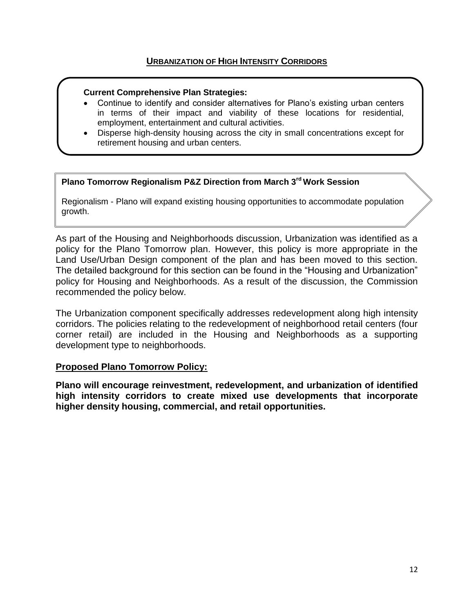- Continue to identify and consider alternatives for Plano's existing urban centers in terms of their impact and viability of these locations for residential, employment, entertainment and cultural activities.
- Disperse high-density housing across the city in small concentrations except for retirement housing and urban centers.

#### **Plano Tomorrow Regionalism P&Z Direction from March 3rd Work Session**

Regionalism - Plano will expand existing housing opportunities to accommodate population growth.

As part of the Housing and Neighborhoods discussion, Urbanization was identified as a policy for the Plano Tomorrow plan. However, this policy is more appropriate in the Land Use/Urban Design component of the plan and has been moved to this section. The detailed background for this section can be found in the "Housing and Urbanization" policy for Housing and Neighborhoods. As a result of the discussion, the Commission recommended the policy below.

The Urbanization component specifically addresses redevelopment along high intensity corridors. The policies relating to the redevelopment of neighborhood retail centers (four corner retail) are included in the Housing and Neighborhoods as a supporting development type to neighborhoods.

#### **Proposed Plano Tomorrow Policy:**

**Plano will encourage reinvestment, redevelopment, and urbanization of identified high intensity corridors to create mixed use developments that incorporate higher density housing, commercial, and retail opportunities.**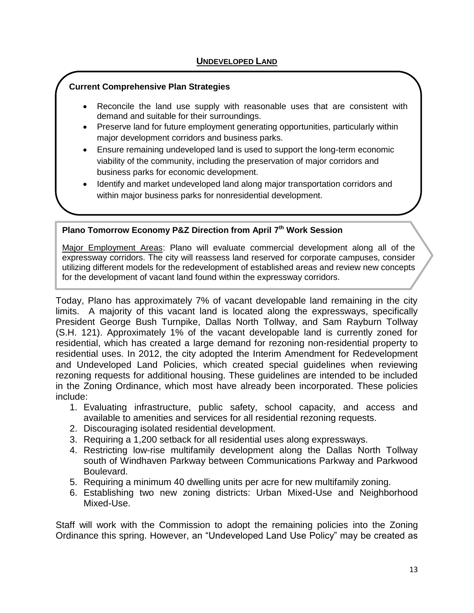- Reconcile the land use supply with reasonable uses that are consistent with demand and suitable for their surroundings.
- Preserve land for future employment generating opportunities, particularly within major development corridors and business parks.
- Ensure remaining undeveloped land is used to support the long-term economic viability of the community, including the preservation of major corridors and business parks for economic development.
- Identify and market undeveloped land along major transportation corridors and within major business parks for nonresidential development.

### **Plano Tomorrow Economy P&Z Direction from April 7th Work Session**

Major Employment Areas: Plano will evaluate commercial development along all of the expressway corridors. The city will reassess land reserved for corporate campuses, consider utilizing different models for the redevelopment of established areas and review new concepts for the development of vacant land found within the expressway corridors.

Today, Plano has approximately 7% of vacant developable land remaining in the city limits. A majority of this vacant land is located along the expressways, specifically President George Bush Turnpike, Dallas North Tollway, and Sam Rayburn Tollway (S.H. 121). Approximately 1% of the vacant developable land is currently zoned for residential, which has created a large demand for rezoning non-residential property to residential uses. In 2012, the city adopted the Interim Amendment for Redevelopment and Undeveloped Land Policies, which created special guidelines when reviewing rezoning requests for additional housing. These guidelines are intended to be included in the Zoning Ordinance, which most have already been incorporated. These policies include:

- 1. Evaluating infrastructure, public safety, school capacity, and access and available to amenities and services for all residential rezoning requests.
- 2. Discouraging isolated residential development.
- 3. Requiring a 1,200 setback for all residential uses along expressways.
- 4. Restricting low-rise multifamily development along the Dallas North Tollway south of Windhaven Parkway between Communications Parkway and Parkwood Boulevard.
- 5. Requiring a minimum 40 dwelling units per acre for new multifamily zoning.
- 6. Establishing two new zoning districts: Urban Mixed-Use and Neighborhood Mixed-Use.

Staff will work with the Commission to adopt the remaining policies into the Zoning Ordinance this spring. However, an "Undeveloped Land Use Policy" may be created as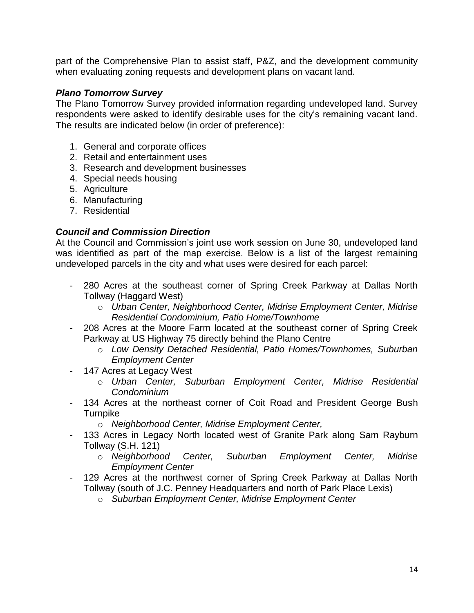part of the Comprehensive Plan to assist staff, P&Z, and the development community when evaluating zoning requests and development plans on vacant land.

### *Plano Tomorrow Survey*

The Plano Tomorrow Survey provided information regarding undeveloped land. Survey respondents were asked to identify desirable uses for the city's remaining vacant land. The results are indicated below (in order of preference):

- 1. General and corporate offices
- 2. Retail and entertainment uses
- 3. Research and development businesses
- 4. Special needs housing
- 5. Agriculture
- 6. Manufacturing
- 7. Residential

### *Council and Commission Direction*

At the Council and Commission's joint use work session on June 30, undeveloped land was identified as part of the map exercise. Below is a list of the largest remaining undeveloped parcels in the city and what uses were desired for each parcel:

- 280 Acres at the southeast corner of Spring Creek Parkway at Dallas North Tollway (Haggard West)
	- o *Urban Center, Neighborhood Center, Midrise Employment Center, Midrise Residential Condominium, Patio Home/Townhome*
- 208 Acres at the Moore Farm located at the southeast corner of Spring Creek Parkway at US Highway 75 directly behind the Plano Centre
	- o *Low Density Detached Residential, Patio Homes/Townhomes, Suburban Employment Center*
- 147 Acres at Legacy West
	- o *Urban Center, Suburban Employment Center, Midrise Residential Condominium*
- 134 Acres at the northeast corner of Coit Road and President George Bush **Turnpike** 
	- o *Neighborhood Center, Midrise Employment Center,*
- 133 Acres in Legacy North located west of Granite Park along Sam Rayburn Tollway (S.H. 121)
	- o *Neighborhood Center, Suburban Employment Center, Midrise Employment Center*
- 129 Acres at the northwest corner of Spring Creek Parkway at Dallas North Tollway (south of J.C. Penney Headquarters and north of Park Place Lexis)
	- o *Suburban Employment Center, Midrise Employment Center*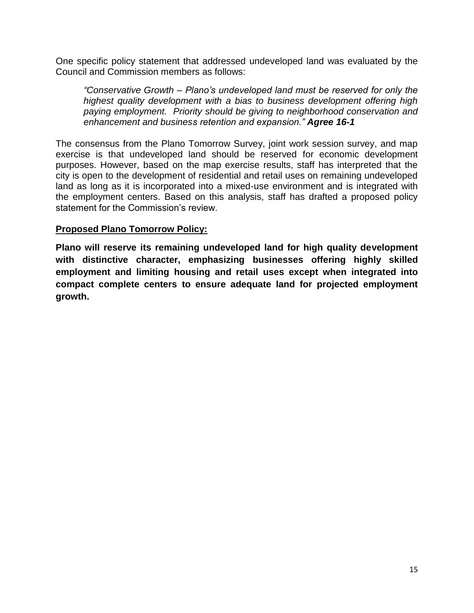One specific policy statement that addressed undeveloped land was evaluated by the Council and Commission members as follows:

*"Conservative Growth – Plano's undeveloped land must be reserved for only the highest quality development with a bias to business development offering high paying employment. Priority should be giving to neighborhood conservation and enhancement and business retention and expansion." Agree 16-1*

The consensus from the Plano Tomorrow Survey, joint work session survey, and map exercise is that undeveloped land should be reserved for economic development purposes. However, based on the map exercise results, staff has interpreted that the city is open to the development of residential and retail uses on remaining undeveloped land as long as it is incorporated into a mixed-use environment and is integrated with the employment centers. Based on this analysis, staff has drafted a proposed policy statement for the Commission's review.

# **Proposed Plano Tomorrow Policy:**

**Plano will reserve its remaining undeveloped land for high quality development with distinctive character, emphasizing businesses offering highly skilled employment and limiting housing and retail uses except when integrated into compact complete centers to ensure adequate land for projected employment growth.**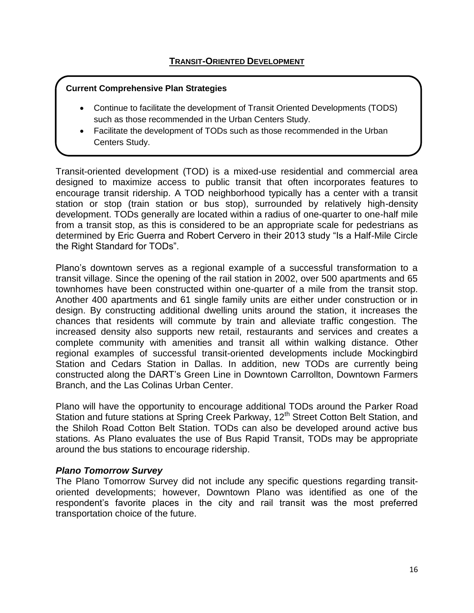- Continue to facilitate the development of Transit Oriented Developments (TODS) such as those recommended in the Urban Centers Study.
- Facilitate the development of TODs such as those recommended in the Urban Centers Study.

Transit-oriented development (TOD) is a mixed-use residential and commercial area designed to maximize access to public transit that often incorporates features to encourage transit ridership. A TOD neighborhood typically has a center with a transit station or stop (train station or bus stop), surrounded by relatively high-density development. TODs generally are located within a radius of one-quarter to one-half mile from a transit stop, as this is considered to be an appropriate scale for pedestrians as determined by Eric Guerra and Robert Cervero in their 2013 study "Is a Half-Mile Circle the Right Standard for TODs".

Plano's downtown serves as a regional example of a successful transformation to a transit village. Since the opening of the rail station in 2002, over 500 apartments and 65 townhomes have been constructed within one-quarter of a mile from the transit stop. Another 400 apartments and 61 single family units are either under construction or in design. By constructing additional dwelling units around the station, it increases the chances that residents will commute by train and alleviate traffic congestion. The increased density also supports new retail, restaurants and services and creates a complete community with amenities and transit all within walking distance. Other regional examples of successful transit-oriented developments include Mockingbird Station and Cedars Station in Dallas. In addition, new TODs are currently being constructed along the DART's Green Line in Downtown Carrollton, Downtown Farmers Branch, and the Las Colinas Urban Center.

Plano will have the opportunity to encourage additional TODs around the Parker Road Station and future stations at Spring Creek Parkway, 12<sup>th</sup> Street Cotton Belt Station, and the Shiloh Road Cotton Belt Station. TODs can also be developed around active bus stations. As Plano evaluates the use of Bus Rapid Transit, TODs may be appropriate around the bus stations to encourage ridership.

### *Plano Tomorrow Survey*

The Plano Tomorrow Survey did not include any specific questions regarding transitoriented developments; however, Downtown Plano was identified as one of the respondent's favorite places in the city and rail transit was the most preferred transportation choice of the future.